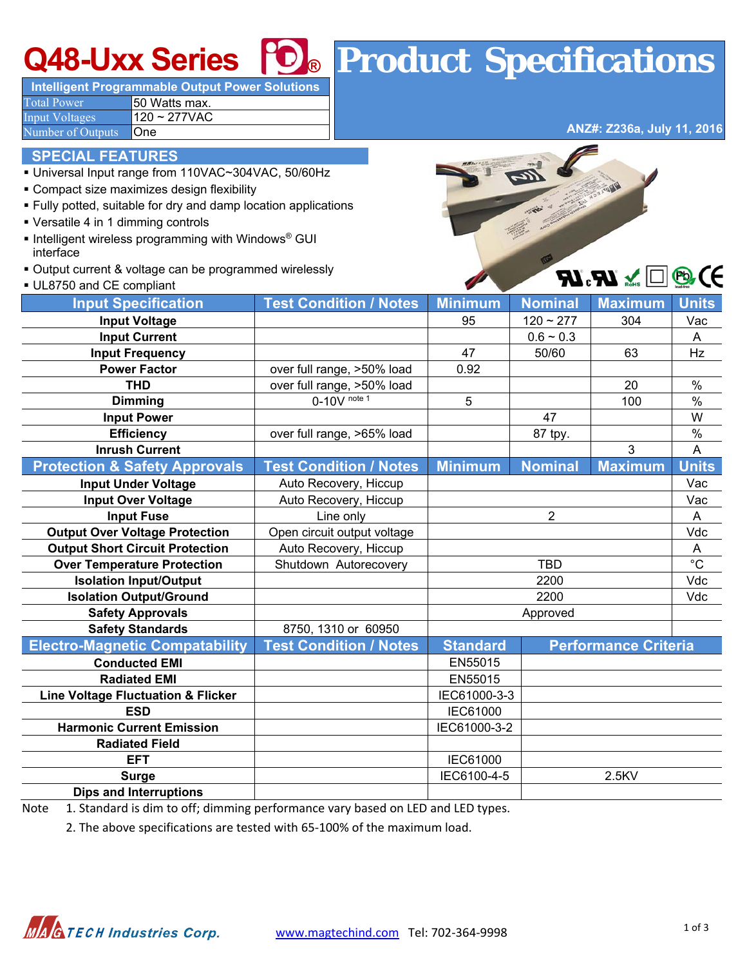# **Q48-Uxx Series ® Product Specifications**

**Intelligent Programmable Output Power Solutions**  Total Power **50 Watts max.** 

 $Input Voltages$  120 ~ 277VAC Number of Outputs **One** 

**ANZ#: Z236a, July 11, 2016**

 $\sqrt{2}$  or  $\sqrt{2}$ 

### **SPECIAL FEATURES**

- Universal Input range from 110VAC~304VAC, 50/60Hz
- Compact size maximizes design flexibility
- Fully potted, suitable for dry and damp location applications
- Versatile 4 in 1 dimming controls
- **Intelligent wireless programming with Windows® GUI** interface
- Output current & voltage can be programmed wirelessly



| UL8750 and CE compliant                       |                               |                                                |                | $\mathbf{W}$ c $\mathbf{W}$ $\mathbf{w}$ $\Box$ | C             |
|-----------------------------------------------|-------------------------------|------------------------------------------------|----------------|-------------------------------------------------|---------------|
| <b>Input Specification</b>                    | <b>Test Condition / Notes</b> | <b>Minimum</b>                                 | <b>Nominal</b> | <b>Maximum</b>                                  | <b>Units</b>  |
| <b>Input Voltage</b>                          |                               | 95<br>$120 - 277$                              |                | 304                                             | Vac           |
| <b>Input Current</b>                          |                               | $0.6 - 0.3$                                    |                |                                                 | A             |
| <b>Input Frequency</b>                        |                               | 47<br>50/60                                    |                | 63                                              | Hz            |
| <b>Power Factor</b>                           | over full range, >50% load    | 0.92                                           |                |                                                 |               |
| <b>THD</b>                                    | over full range, >50% load    |                                                |                | 20                                              | $\frac{0}{0}$ |
| <b>Dimming</b>                                | $0-10V$ note 1                | 5                                              |                | 100                                             | $\frac{0}{0}$ |
| <b>Input Power</b>                            |                               | 47                                             |                |                                                 | W             |
| <b>Efficiency</b>                             | over full range, >65% load    | 87 tpy.                                        |                |                                                 | $\%$          |
| <b>Inrush Current</b>                         |                               |                                                |                | 3                                               | A             |
| <b>Protection &amp; Safety Approvals</b>      | <b>Test Condition / Notes</b> | <b>Minimum</b>                                 | <b>Nominal</b> | <b>Maximum</b>                                  | <b>Units</b>  |
| <b>Input Under Voltage</b>                    | Auto Recovery, Hiccup         |                                                |                |                                                 | Vac           |
| <b>Input Over Voltage</b>                     | Auto Recovery, Hiccup         |                                                |                |                                                 | Vac           |
| <b>Input Fuse</b>                             | Line only                     | $\overline{2}$                                 |                |                                                 | A             |
| <b>Output Over Voltage Protection</b>         | Open circuit output voltage   |                                                |                |                                                 | Vdc           |
| <b>Output Short Circuit Protection</b>        | Auto Recovery, Hiccup         |                                                | A              |                                                 |               |
| <b>Over Temperature Protection</b>            | Shutdown Autorecovery         | <b>TBD</b>                                     |                |                                                 | $^{\circ}C$   |
| <b>Isolation Input/Output</b>                 |                               | 2200                                           |                |                                                 | Vdc           |
| <b>Isolation Output/Ground</b>                |                               | 2200                                           |                |                                                 | Vdc           |
| <b>Safety Approvals</b>                       |                               | Approved                                       |                |                                                 |               |
| <b>Safety Standards</b>                       | 8750, 1310 or 60950           |                                                |                |                                                 |               |
| <b>Electro-Magnetic Compatability</b>         | <b>Test Condition / Notes</b> | <b>Standard</b><br><b>Performance Criteria</b> |                |                                                 |               |
| <b>Conducted EMI</b>                          |                               | EN55015                                        |                |                                                 |               |
| <b>Radiated EMI</b>                           |                               | EN55015                                        |                |                                                 |               |
| <b>Line Voltage Fluctuation &amp; Flicker</b> |                               | IEC61000-3-3                                   |                |                                                 |               |
| <b>ESD</b>                                    |                               | IEC61000                                       |                |                                                 |               |
| <b>Harmonic Current Emission</b>              |                               | IEC61000-3-2                                   |                |                                                 |               |
| <b>Radiated Field</b>                         |                               |                                                |                |                                                 |               |
| <b>EFT</b>                                    |                               | IEC61000                                       |                |                                                 |               |
| <b>Surge</b>                                  |                               | IEC6100-4-5<br>2.5KV                           |                |                                                 |               |
| <b>Dips and Interruptions</b>                 |                               |                                                |                |                                                 |               |

Note 1. Standard is dim to off; dimming performance vary based on LED and LED types.

2. The above specifications are tested with 65‐100% of the maximum load.

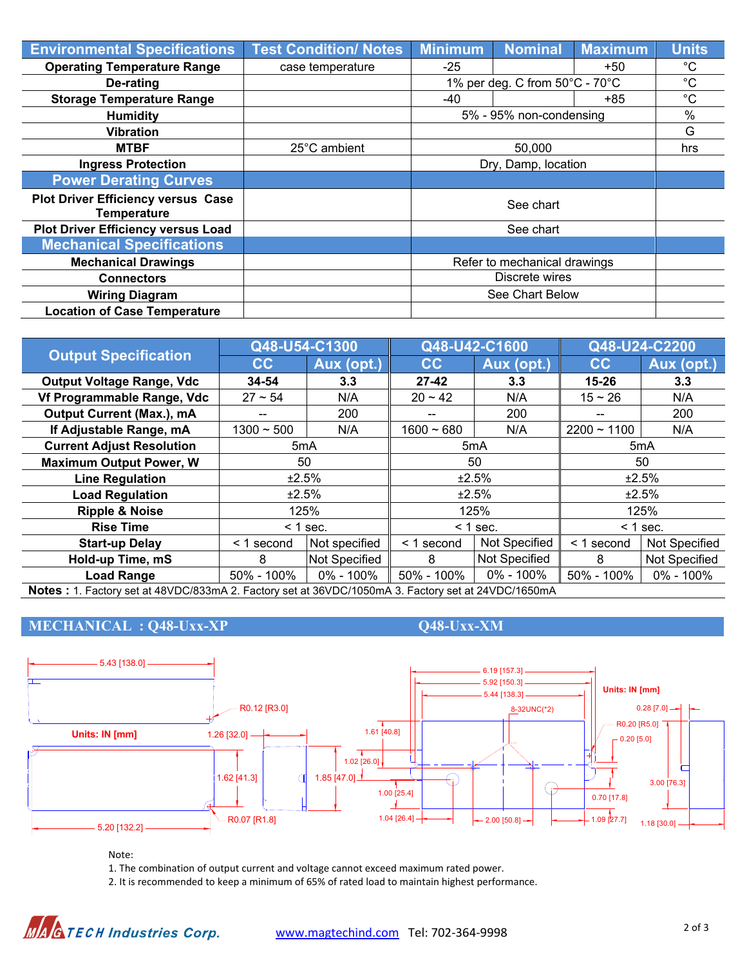| <b>Environmental Specifications</b>                             | <b>Test Condition/ Notes</b> | <b>Minimum</b>                 | <b>Nominal</b> | <b>Maximum</b> | <b>Units</b> |
|-----------------------------------------------------------------|------------------------------|--------------------------------|----------------|----------------|--------------|
| <b>Operating Temperature Range</b>                              | case temperature             | $-25$                          |                | $+50$          | $^{\circ}$ C |
| De-rating                                                       |                              | 1% per deg. C from 50°C - 70°C |                |                | $^{\circ}C$  |
| <b>Storage Temperature Range</b>                                |                              | -40                            |                | +85            | $^{\circ}C$  |
| <b>Humidity</b>                                                 |                              | 5% - 95% non-condensing        |                |                | $\%$         |
| <b>Vibration</b>                                                |                              |                                |                |                | G            |
| <b>MTBF</b>                                                     | 25°C ambient                 |                                | hrs            |                |              |
| <b>Ingress Protection</b>                                       |                              | Dry, Damp, location            |                |                |              |
| <b>Power Derating Curves</b>                                    |                              |                                |                |                |              |
| <b>Plot Driver Efficiency versus Case</b><br><b>Temperature</b> |                              | See chart                      |                |                |              |
| <b>Plot Driver Efficiency versus Load</b>                       |                              |                                |                |                |              |
| <b>Mechanical Specifications</b>                                |                              |                                |                |                |              |
| <b>Mechanical Drawings</b>                                      |                              | Refer to mechanical drawings   |                |                |              |
| <b>Connectors</b>                                               |                              |                                |                |                |              |
| <b>Wiring Diagram</b>                                           |                              | See Chart Below                |                |                |              |
| <b>Location of Case Temperature</b>                             |                              |                                |                |                |              |

| <b>Output Specification</b>                                                                        | Q48-U54-C1300   |                      | Q48-U42-C1600    |                      | Q48-U24-C2200    |               |  |
|----------------------------------------------------------------------------------------------------|-----------------|----------------------|------------------|----------------------|------------------|---------------|--|
|                                                                                                    | cc              | Aux (opt.)           | cc               | Aux (opt.)           | cc               | Aux (opt.)    |  |
| <b>Output Voltage Range, Vdc</b>                                                                   | 34-54           | 3.3                  | $27 - 42$        | 3.3                  | $15 - 26$        | 3.3           |  |
| Vf Programmable Range, Vdc                                                                         | $27 \sim 54$    | N/A                  | $20 - 42$        | N/A                  | $15 - 26$        | N/A           |  |
| Output Current (Max.), mA                                                                          |                 | 200                  | --               | 200                  | --               | 200           |  |
| If Adjustable Range, mA                                                                            | $1300 - 500$    | N/A                  | $1600 - 680$     | N/A                  | $2200 - 1100$    | N/A           |  |
| <b>Current Adjust Resolution</b>                                                                   | 5mA             |                      | 5 <sub>m</sub> A |                      | 5 <sub>m</sub> A |               |  |
| <b>Maximum Output Power, W</b>                                                                     | 50              |                      | 50               |                      | 50               |               |  |
| <b>Line Regulation</b>                                                                             | ±2.5%           |                      | ±2.5%            |                      | ±2.5%            |               |  |
| <b>Load Regulation</b>                                                                             | ±2.5%           |                      | ±2.5%            |                      | ±2.5%            |               |  |
| <b>Ripple &amp; Noise</b>                                                                          | 125%            |                      | 125%             |                      | 125%             |               |  |
| <b>Rise Time</b>                                                                                   | $<$ 1 sec.      |                      | $< 1$ sec.       |                      | $<$ 1 sec.       |               |  |
| <b>Start-up Delay</b>                                                                              | $\leq$ 1 second | Not specified        | < 1 second       | Not Specified        | < 1 second       | Not Specified |  |
| Hold-up Time, mS                                                                                   | 8               | <b>Not Specified</b> | 8                | <b>Not Specified</b> | 8                | Not Specified |  |
| <b>Load Range</b>                                                                                  | $50\% - 100\%$  | $0\% - 100\%$        | 50% - 100%       | 0% - 100%            | 50% - 100%       | $0\% - 100\%$ |  |
| Notes: 1. Factory set at 48VDC/833mA 2. Factory set at 36VDC/1050mA 3. Factory set at 24VDC/1650mA |                 |                      |                  |                      |                  |               |  |

## **MECHANICAL : Q48-Uxx-XP Q48-Uxx-XM**



### Note:

1. The combination of output current and voltage cannot exceed maximum rated power.

2. It is recommended to keep a minimum of 65% of rated load to maintain highest performance.